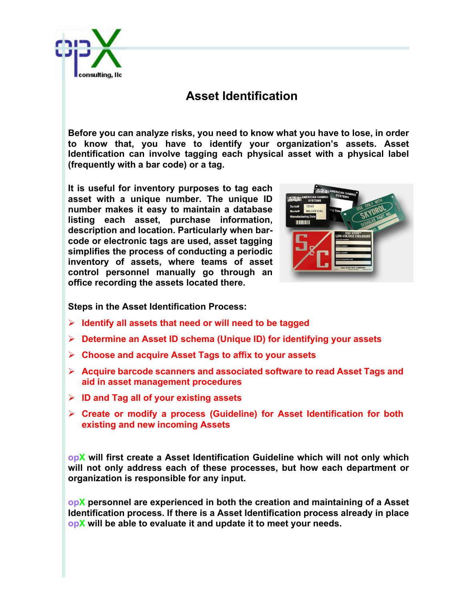

## **Asset Identification**

**Before you can analyze risks, you need to know what you have to lose, in order to know that, you have to identify your organization's assets. Asset Identification can involve tagging each physical asset with a physical label (frequently with a bar code) or a tag.**

**It is useful for inventory purposes to tag each asset with a unique number. The unique ID number makes it easy to maintain a database listing each asset, purchase information, description and location. Particularly when barcode or electronic tags are used, asset tagging simplifies the process of conducting a periodic inventory of assets, where teams of asset control personnel manually go through an office recording the assets located there.**



**Steps in the Asset Identification Process:**

- Ø **Identify all assets that need or will need to be tagged**
- Ø **Determine an Asset ID schema (Unique ID) for identifying your assets**
- Ø **Choose and acquire Asset Tags to affix to your assets**
- Ø **Acquire barcode scanners and associated software to read Asset Tags and aid in asset management procedures**
- Ø **ID and Tag all of your existing assets**
- Ø **Create or modify a process (Guideline) for Asset Identification for both existing and new incoming Assets**

**opX will first create a Asset Identification Guideline which will not only which will not only address each of these processes, but how each department or organization is responsible for any input.**

**opX personnel are experienced in both the creation and maintaining of a Asset Identification process. If there is a Asset Identification process already in place opX will be able to evaluate it and update it to meet your needs.**